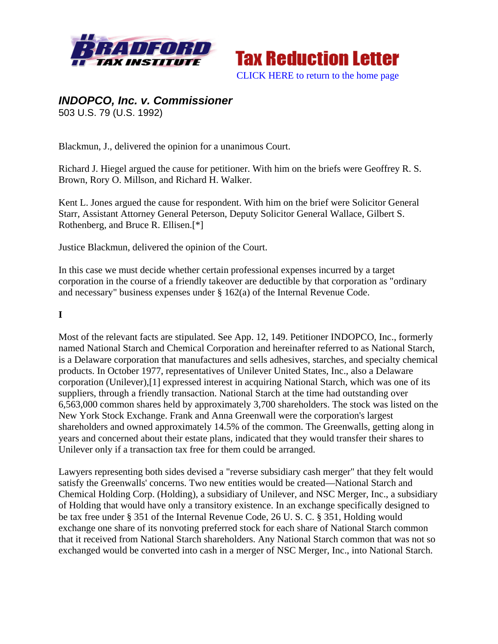



# *INDOPCO, Inc. v. Commissioner*  503 U.S. 79 (U.S. 1992)

Blackmun, J., delivered the opinion for a unanimous Court.

Richard J. Hiegel argued the cause for petitioner. With him on the briefs were Geoffrey R. S. Brown, Rory O. Millson, and Richard H. Walker.

Kent L. Jones argued the cause for respondent. With him on the brief were Solicitor General Starr, Assistant Attorney General Peterson, Deputy Solicitor General Wallace, Gilbert S. Rothenberg, and Bruce R. Ellisen.[\*]

Justice Blackmun, delivered the opinion of the Court.

In this case we must decide whether certain professional expenses incurred by a target corporation in the course of a friendly takeover are deductible by that corporation as "ordinary and necessary" business expenses under § 162(a) of the Internal Revenue Code.

## **I**

Most of the relevant facts are stipulated. See App. 12, 149. Petitioner INDOPCO, Inc., formerly named National Starch and Chemical Corporation and hereinafter referred to as National Starch, is a Delaware corporation that manufactures and sells adhesives, starches, and specialty chemical products. In October 1977, representatives of Unilever United States, Inc., also a Delaware corporation (Unilever),[1] expressed interest in acquiring National Starch, which was one of its suppliers, through a friendly transaction. National Starch at the time had outstanding over 6,563,000 common shares held by approximately 3,700 shareholders. The stock was listed on the New York Stock Exchange. Frank and Anna Greenwall were the corporation's largest shareholders and owned approximately 14.5% of the common. The Greenwalls, getting along in years and concerned about their estate plans, indicated that they would transfer their shares to Unilever only if a transaction tax free for them could be arranged.

Lawyers representing both sides devised a "reverse subsidiary cash merger" that they felt would satisfy the Greenwalls' concerns. Two new entities would be created—National Starch and Chemical Holding Corp. (Holding), a subsidiary of Unilever, and NSC Merger, Inc., a subsidiary of Holding that would have only a transitory existence. In an exchange specifically designed to be tax free under § 351 of the Internal Revenue Code, 26 U. S. C. § 351, Holding would exchange one share of its nonvoting preferred stock for each share of National Starch common that it received from National Starch shareholders. Any National Starch common that was not so exchanged would be converted into cash in a merger of NSC Merger, Inc., into National Starch.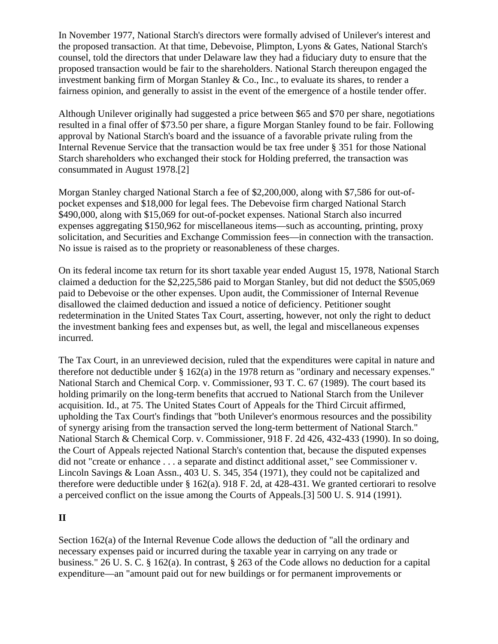In November 1977, National Starch's directors were formally advised of Unilever's interest and the proposed transaction. At that time, Debevoise, Plimpton, Lyons & Gates, National Starch's counsel, told the directors that under Delaware law they had a fiduciary duty to ensure that the proposed transaction would be fair to the shareholders. National Starch thereupon engaged the investment banking firm of Morgan Stanley & Co., Inc., to evaluate its shares, to render a fairness opinion, and generally to assist in the event of the emergence of a hostile tender offer.

Although Unilever originally had suggested a price between \$65 and \$70 per share, negotiations resulted in a final offer of \$73.50 per share, a figure Morgan Stanley found to be fair. Following approval by National Starch's board and the issuance of a favorable private ruling from the Internal Revenue Service that the transaction would be tax free under § 351 for those National Starch shareholders who exchanged their stock for Holding preferred, the transaction was consummated in August 1978.[2]

Morgan Stanley charged National Starch a fee of \$2,200,000, along with \$7,586 for out-ofpocket expenses and \$18,000 for legal fees. The Debevoise firm charged National Starch \$490,000, along with \$15,069 for out-of-pocket expenses. National Starch also incurred expenses aggregating \$150,962 for miscellaneous items—such as accounting, printing, proxy solicitation, and Securities and Exchange Commission fees—in connection with the transaction. No issue is raised as to the propriety or reasonableness of these charges.

On its federal income tax return for its short taxable year ended August 15, 1978, National Starch claimed a deduction for the \$2,225,586 paid to Morgan Stanley, but did not deduct the \$505,069 paid to Debevoise or the other expenses. Upon audit, the Commissioner of Internal Revenue disallowed the claimed deduction and issued a notice of deficiency. Petitioner sought redetermination in the United States Tax Court, asserting, however, not only the right to deduct the investment banking fees and expenses but, as well, the legal and miscellaneous expenses incurred.

The Tax Court, in an unreviewed decision, ruled that the expenditures were capital in nature and therefore not deductible under § 162(a) in the 1978 return as "ordinary and necessary expenses." National Starch and Chemical Corp. v. Commissioner, 93 T. C. 67 (1989). The court based its holding primarily on the long-term benefits that accrued to National Starch from the Unilever acquisition. Id., at 75. The United States Court of Appeals for the Third Circuit affirmed, upholding the Tax Court's findings that "both Unilever's enormous resources and the possibility of synergy arising from the transaction served the long-term betterment of National Starch." National Starch & Chemical Corp. v. Commissioner, 918 F. 2d 426, 432-433 (1990). In so doing, the Court of Appeals rejected National Starch's contention that, because the disputed expenses did not "create or enhance . . . a separate and distinct additional asset," see Commissioner v. Lincoln Savings & Loan Assn., 403 U. S. 345, 354 (1971), they could not be capitalized and therefore were deductible under § 162(a). 918 F. 2d, at 428-431. We granted certiorari to resolve a perceived conflict on the issue among the Courts of Appeals.[3] 500 U. S. 914 (1991).

## **II**

Section 162(a) of the Internal Revenue Code allows the deduction of "all the ordinary and necessary expenses paid or incurred during the taxable year in carrying on any trade or business." 26 U. S. C. § 162(a). In contrast, § 263 of the Code allows no deduction for a capital expenditure—an "amount paid out for new buildings or for permanent improvements or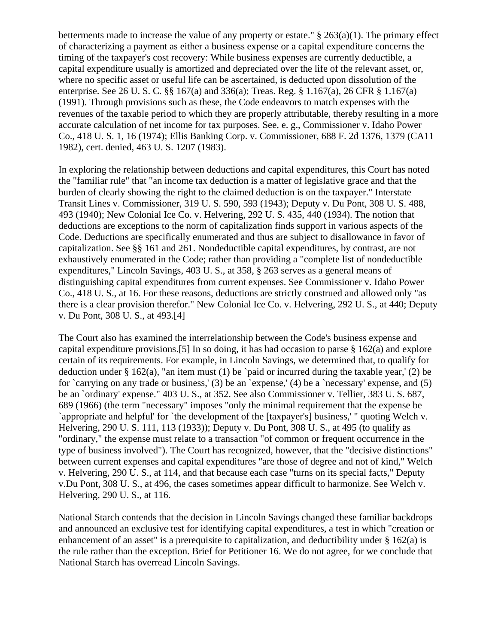betterments made to increase the value of any property or estate."  $\S 263(a)(1)$ . The primary effect of characterizing a payment as either a business expense or a capital expenditure concerns the timing of the taxpayer's cost recovery: While business expenses are currently deductible, a capital expenditure usually is amortized and depreciated over the life of the relevant asset, or, where no specific asset or useful life can be ascertained, is deducted upon dissolution of the enterprise. See 26 U. S. C. §§ 167(a) and 336(a); Treas. Reg. § 1.167(a), 26 CFR § 1.167(a) (1991). Through provisions such as these, the Code endeavors to match expenses with the revenues of the taxable period to which they are properly attributable, thereby resulting in a more accurate calculation of net income for tax purposes. See, e. g., Commissioner v. Idaho Power Co., 418 U. S. 1, 16 (1974); Ellis Banking Corp. v. Commissioner, 688 F. 2d 1376, 1379 (CA11 1982), cert. denied, 463 U. S. 1207 (1983).

In exploring the relationship between deductions and capital expenditures, this Court has noted the "familiar rule" that "an income tax deduction is a matter of legislative grace and that the burden of clearly showing the right to the claimed deduction is on the taxpayer." Interstate Transit Lines v. Commissioner, 319 U. S. 590, 593 (1943); Deputy v. Du Pont, 308 U. S. 488, 493 (1940); New Colonial Ice Co. v. Helvering, 292 U. S. 435, 440 (1934). The notion that deductions are exceptions to the norm of capitalization finds support in various aspects of the Code. Deductions are specifically enumerated and thus are subject to disallowance in favor of capitalization. See §§ 161 and 261. Nondeductible capital expenditures, by contrast, are not exhaustively enumerated in the Code; rather than providing a "complete list of nondeductible expenditures," Lincoln Savings, 403 U. S., at 358, § 263 serves as a general means of distinguishing capital expenditures from current expenses. See Commissioner v. Idaho Power Co., 418 U. S., at 16. For these reasons, deductions are strictly construed and allowed only "as there is a clear provision therefor." New Colonial Ice Co. v. Helvering, 292 U. S., at 440; Deputy v. Du Pont, 308 U. S., at 493.[4]

The Court also has examined the interrelationship between the Code's business expense and capital expenditure provisions.[5] In so doing, it has had occasion to parse § 162(a) and explore certain of its requirements. For example, in Lincoln Savings, we determined that, to qualify for deduction under § 162(a), "an item must (1) be `paid or incurred during the taxable year,' (2) be for `carrying on any trade or business,' (3) be an `expense,' (4) be a `necessary' expense, and (5) be an `ordinary' expense." 403 U. S., at 352. See also Commissioner v. Tellier, 383 U. S. 687, 689 (1966) (the term "necessary" imposes "only the minimal requirement that the expense be `appropriate and helpful' for `the development of the [taxpayer's] business,' " quoting Welch v. Helvering, 290 U. S. 111, 113 (1933)); Deputy v. Du Pont, 308 U. S., at 495 (to qualify as "ordinary," the expense must relate to a transaction "of common or frequent occurrence in the type of business involved"). The Court has recognized, however, that the "decisive distinctions" between current expenses and capital expenditures "are those of degree and not of kind," Welch v. Helvering, 290 U. S., at 114, and that because each case "turns on its special facts," Deputy v.Du Pont, 308 U. S., at 496, the cases sometimes appear difficult to harmonize. See Welch v. Helvering, 290 U. S., at 116.

National Starch contends that the decision in Lincoln Savings changed these familiar backdrops and announced an exclusive test for identifying capital expenditures, a test in which "creation or enhancement of an asset" is a prerequisite to capitalization, and deductibility under § 162(a) is the rule rather than the exception. Brief for Petitioner 16. We do not agree, for we conclude that National Starch has overread Lincoln Savings.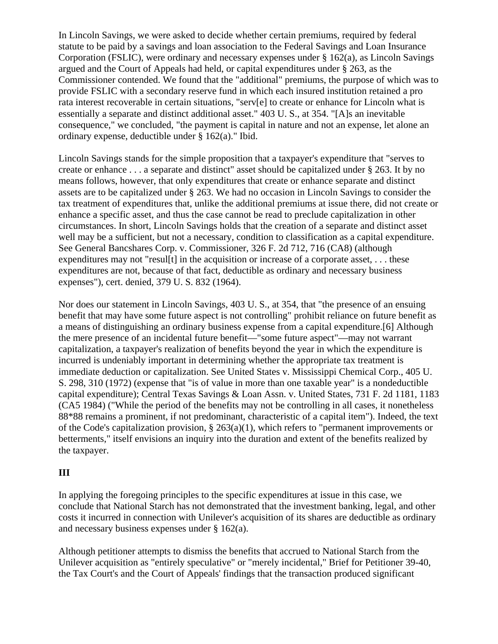In Lincoln Savings, we were asked to decide whether certain premiums, required by federal statute to be paid by a savings and loan association to the Federal Savings and Loan Insurance Corporation (FSLIC), were ordinary and necessary expenses under  $\S 162(a)$ , as Lincoln Savings argued and the Court of Appeals had held, or capital expenditures under § 263, as the Commissioner contended. We found that the "additional" premiums, the purpose of which was to provide FSLIC with a secondary reserve fund in which each insured institution retained a pro rata interest recoverable in certain situations, "serv[e] to create or enhance for Lincoln what is essentially a separate and distinct additional asset." 403 U. S., at 354. "[A]s an inevitable consequence," we concluded, "the payment is capital in nature and not an expense, let alone an ordinary expense, deductible under § 162(a)." Ibid.

Lincoln Savings stands for the simple proposition that a taxpayer's expenditure that "serves to create or enhance . . . a separate and distinct" asset should be capitalized under § 263. It by no means follows, however, that only expenditures that create or enhance separate and distinct assets are to be capitalized under § 263. We had no occasion in Lincoln Savings to consider the tax treatment of expenditures that, unlike the additional premiums at issue there, did not create or enhance a specific asset, and thus the case cannot be read to preclude capitalization in other circumstances. In short, Lincoln Savings holds that the creation of a separate and distinct asset well may be a sufficient, but not a necessary, condition to classification as a capital expenditure. See General Bancshares Corp. v. Commissioner, 326 F. 2d 712, 716 (CA8) (although expenditures may not "resul[t] in the acquisition or increase of a corporate asset, ... these expenditures are not, because of that fact, deductible as ordinary and necessary business expenses"), cert. denied, 379 U. S. 832 (1964).

Nor does our statement in Lincoln Savings, 403 U. S., at 354, that "the presence of an ensuing benefit that may have some future aspect is not controlling" prohibit reliance on future benefit as a means of distinguishing an ordinary business expense from a capital expenditure.[6] Although the mere presence of an incidental future benefit—"some future aspect"—may not warrant capitalization, a taxpayer's realization of benefits beyond the year in which the expenditure is incurred is undeniably important in determining whether the appropriate tax treatment is immediate deduction or capitalization. See United States v. Mississippi Chemical Corp., 405 U. S. 298, 310 (1972) (expense that "is of value in more than one taxable year" is a nondeductible capital expenditure); Central Texas Savings & Loan Assn. v. United States, 731 F. 2d 1181, 1183 (CA5 1984) ("While the period of the benefits may not be controlling in all cases, it nonetheless 88\*88 remains a prominent, if not predominant, characteristic of a capital item"). Indeed, the text of the Code's capitalization provision,  $\S 263(a)(1)$ , which refers to "permanent improvements or betterments," itself envisions an inquiry into the duration and extent of the benefits realized by the taxpayer.

## **III**

In applying the foregoing principles to the specific expenditures at issue in this case, we conclude that National Starch has not demonstrated that the investment banking, legal, and other costs it incurred in connection with Unilever's acquisition of its shares are deductible as ordinary and necessary business expenses under § 162(a).

Although petitioner attempts to dismiss the benefits that accrued to National Starch from the Unilever acquisition as "entirely speculative" or "merely incidental," Brief for Petitioner 39-40, the Tax Court's and the Court of Appeals' findings that the transaction produced significant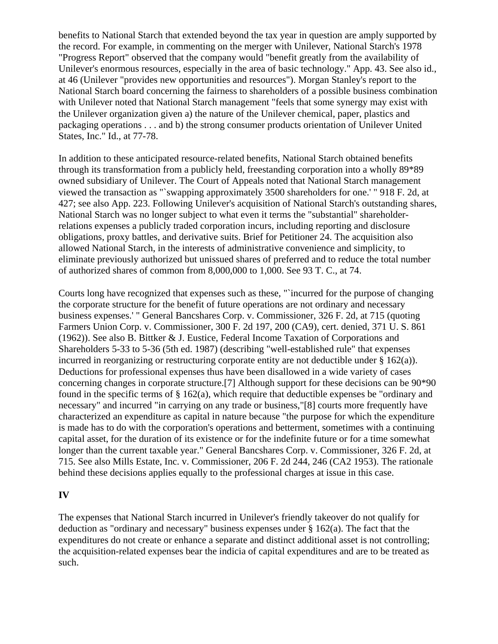benefits to National Starch that extended beyond the tax year in question are amply supported by the record. For example, in commenting on the merger with Unilever, National Starch's 1978 "Progress Report" observed that the company would "benefit greatly from the availability of Unilever's enormous resources, especially in the area of basic technology." App. 43. See also id., at 46 (Unilever "provides new opportunities and resources"). Morgan Stanley's report to the National Starch board concerning the fairness to shareholders of a possible business combination with Unilever noted that National Starch management "feels that some synergy may exist with the Unilever organization given a) the nature of the Unilever chemical, paper, plastics and packaging operations . . . and b) the strong consumer products orientation of Unilever United States, Inc." Id., at 77-78.

In addition to these anticipated resource-related benefits, National Starch obtained benefits through its transformation from a publicly held, freestanding corporation into a wholly 89\*89 owned subsidiary of Unilever. The Court of Appeals noted that National Starch management viewed the transaction as "`swapping approximately 3500 shareholders for one.' " 918 F. 2d, at 427; see also App. 223. Following Unilever's acquisition of National Starch's outstanding shares, National Starch was no longer subject to what even it terms the "substantial" shareholderrelations expenses a publicly traded corporation incurs, including reporting and disclosure obligations, proxy battles, and derivative suits. Brief for Petitioner 24. The acquisition also allowed National Starch, in the interests of administrative convenience and simplicity, to eliminate previously authorized but unissued shares of preferred and to reduce the total number of authorized shares of common from 8,000,000 to 1,000. See 93 T. C., at 74.

Courts long have recognized that expenses such as these, "`incurred for the purpose of changing the corporate structure for the benefit of future operations are not ordinary and necessary business expenses.' " General Bancshares Corp. v. Commissioner, 326 F. 2d, at 715 (quoting Farmers Union Corp. v. Commissioner, 300 F. 2d 197, 200 (CA9), cert. denied, 371 U. S. 861 (1962)). See also B. Bittker & J. Eustice, Federal Income Taxation of Corporations and Shareholders 5-33 to 5-36 (5th ed. 1987) (describing "well-established rule" that expenses incurred in reorganizing or restructuring corporate entity are not deductible under  $\S 162(a)$ ). Deductions for professional expenses thus have been disallowed in a wide variety of cases concerning changes in corporate structure.[7] Although support for these decisions can be 90\*90 found in the specific terms of  $\S$  162(a), which require that deductible expenses be "ordinary and necessary" and incurred "in carrying on any trade or business,"[8] courts more frequently have characterized an expenditure as capital in nature because "the purpose for which the expenditure is made has to do with the corporation's operations and betterment, sometimes with a continuing capital asset, for the duration of its existence or for the indefinite future or for a time somewhat longer than the current taxable year." General Bancshares Corp. v. Commissioner, 326 F. 2d, at 715. See also Mills Estate, Inc. v. Commissioner, 206 F. 2d 244, 246 (CA2 1953). The rationale behind these decisions applies equally to the professional charges at issue in this case.

### **IV**

The expenses that National Starch incurred in Unilever's friendly takeover do not qualify for deduction as "ordinary and necessary" business expenses under § 162(a). The fact that the expenditures do not create or enhance a separate and distinct additional asset is not controlling; the acquisition-related expenses bear the indicia of capital expenditures and are to be treated as such.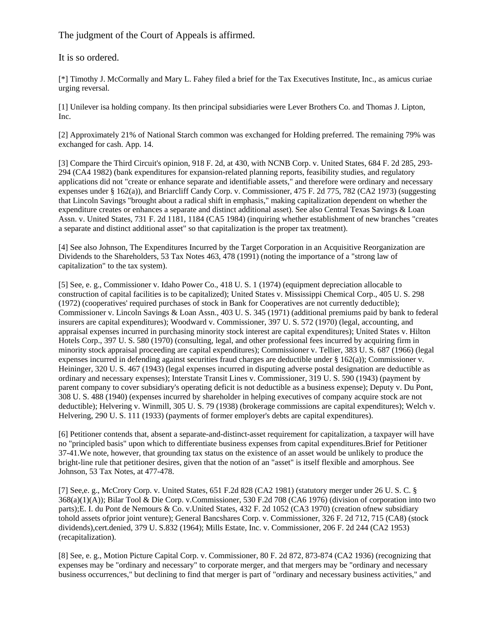The judgment of the Court of Appeals is affirmed.

It is so ordered.

[\*] Timothy J. McCormally and Mary L. Fahey filed a brief for the Tax Executives Institute, Inc., as amicus curiae urging reversal.

[1] Unilever isa holding company. Its then principal subsidiaries were Lever Brothers Co. and Thomas J. Lipton, Inc.

[2] Approximately 21% of National Starch common was exchanged for Holding preferred. The remaining 79% was exchanged for cash. App. 14.

[3] Compare the Third Circuit's opinion, 918 F. 2d, at 430, with NCNB Corp. v. United States, 684 F. 2d 285, 293-294 (CA4 1982) (bank expenditures for expansion-related planning reports, feasibility studies, and regulatory applications did not "create or enhance separate and identifiable assets," and therefore were ordinary and necessary expenses under § 162(a)), and Briarcliff Candy Corp. v. Commissioner, 475 F. 2d 775, 782 (CA2 1973) (suggesting that Lincoln Savings "brought about a radical shift in emphasis," making capitalization dependent on whether the expenditure creates or enhances a separate and distinct additional asset). See also Central Texas Savings & Loan Assn. v. United States, 731 F. 2d 1181, 1184 (CA5 1984) (inquiring whether establishment of new branches "creates a separate and distinct additional asset" so that capitalization is the proper tax treatment).

[4] See also Johnson, The Expenditures Incurred by the Target Corporation in an Acquisitive Reorganization are Dividends to the Shareholders, 53 Tax Notes 463, 478 (1991) (noting the importance of a "strong law of capitalization" to the tax system).

[5] See, e. g., Commissioner v. Idaho Power Co., 418 U. S. 1 (1974) (equipment depreciation allocable to construction of capital facilities is to be capitalized); United States v. Mississippi Chemical Corp., 405 U. S. 298 (1972) (cooperatives' required purchases of stock in Bank for Cooperatives are not currently deductible); Commissioner v. Lincoln Savings & Loan Assn., 403 U. S. 345 (1971) (additional premiums paid by bank to federal insurers are capital expenditures); Woodward v. Commissioner, 397 U. S. 572 (1970) (legal, accounting, and appraisal expenses incurred in purchasing minority stock interest are capital expenditures); United States v. Hilton Hotels Corp., 397 U. S. 580 (1970) (consulting, legal, and other professional fees incurred by acquiring firm in minority stock appraisal proceeding are capital expenditures); Commissioner v. Tellier, 383 U. S. 687 (1966) (legal expenses incurred in defending against securities fraud charges are deductible under § 162(a)); Commissioner v. Heininger, 320 U. S. 467 (1943) (legal expenses incurred in disputing adverse postal designation are deductible as ordinary and necessary expenses); Interstate Transit Lines v. Commissioner, 319 U. S. 590 (1943) (payment by parent company to cover subsidiary's operating deficit is not deductible as a business expense); Deputy v. Du Pont, 308 U. S. 488 (1940) (expenses incurred by shareholder in helping executives of company acquire stock are not deductible); Helvering v. Winmill, 305 U. S. 79 (1938) (brokerage commissions are capital expenditures); Welch v. Helvering, 290 U. S. 111 (1933) (payments of former employer's debts are capital expenditures).

[6] Petitioner contends that, absent a separate-and-distinct-asset requirement for capitalization, a taxpayer will have no "principled basis" upon which to differentiate business expenses from capital expenditures.Brief for Petitioner 37-41.We note, however, that grounding tax status on the existence of an asset would be unlikely to produce the bright-line rule that petitioner desires, given that the notion of an "asset" is itself flexible and amorphous. See Johnson, 53 Tax Notes, at 477-478.

[7] See,e. g., McCrory Corp. v. United States, 651 F.2d 828 (CA2 1981) (statutory merger under 26 U. S. C. § 368(a)(1)(A)); Bilar Tool & Die Corp. v.Commissioner, 530 F.2d 708 (CA6 1976) (division of corporation into two parts);E. I. du Pont de Nemours & Co. v.United States, 432 F. 2d 1052 (CA3 1970) (creation ofnew subsidiary tohold assets ofprior joint venture); General Bancshares Corp. v. Commissioner, 326 F. 2d 712, 715 (CA8) (stock dividends),cert.denied, 379 U. S.832 (1964); Mills Estate, Inc. v. Commissioner, 206 F. 2d 244 (CA2 1953) (recapitalization).

[8] See, e. g., Motion Picture Capital Corp. v. Commissioner, 80 F. 2d 872, 873-874 (CA2 1936) (recognizing that expenses may be "ordinary and necessary" to corporate merger, and that mergers may be "ordinary and necessary business occurrences," but declining to find that merger is part of "ordinary and necessary business activities," and